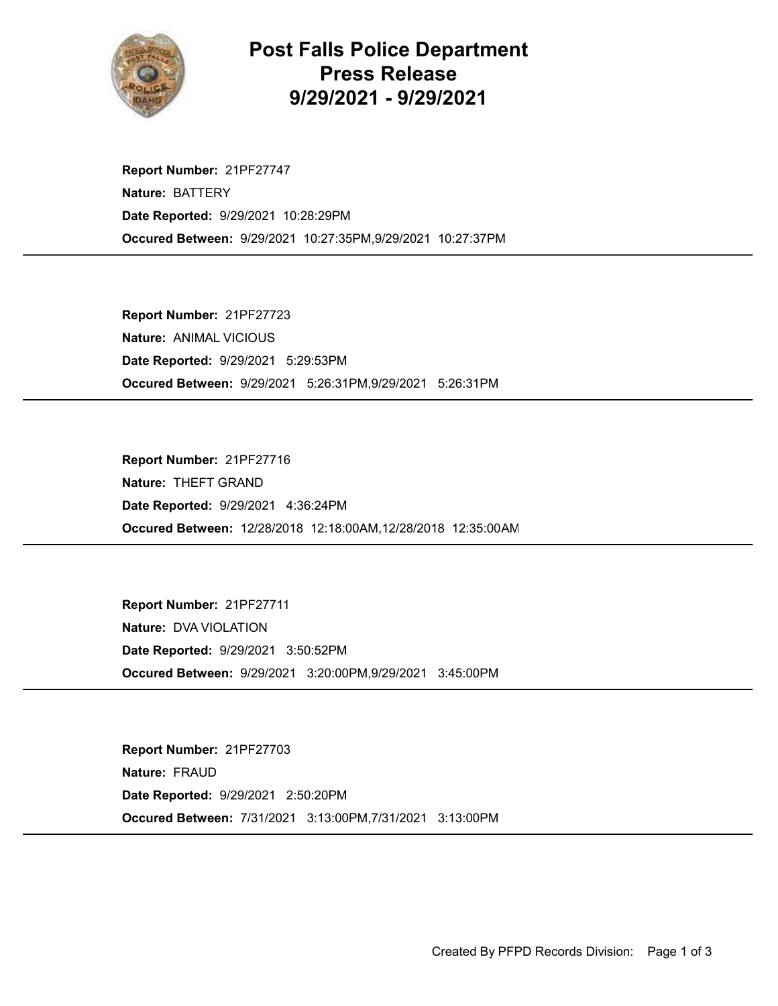

## Post Falls Police Department Press Release 9/29/2021 - 9/29/2021

Occured Between: 9/29/2021 10:27:35PM,9/29/2021 10:27:37PM Report Number: 21PF27747 Nature: BATTERY Date Reported: 9/29/2021 10:28:29PM

Occured Between: 9/29/2021 5:26:31PM,9/29/2021 5:26:31PM Report Number: 21PF27723 Nature: ANIMAL VICIOUS Date Reported: 9/29/2021 5:29:53PM

Occured Between: 12/28/2018 12:18:00AM,12/28/2018 12:35:00AM Report Number: 21PF27716 Nature: THEFT GRAND Date Reported: 9/29/2021 4:36:24PM

Occured Between: 9/29/2021 3:20:00PM,9/29/2021 3:45:00PM Report Number: 21PF27711 Nature: DVA VIOLATION Date Reported: 9/29/2021 3:50:52PM

Occured Between: 7/31/2021 3:13:00PM,7/31/2021 3:13:00PM Report Number: 21PF27703 Nature: FRAUD Date Reported: 9/29/2021 2:50:20PM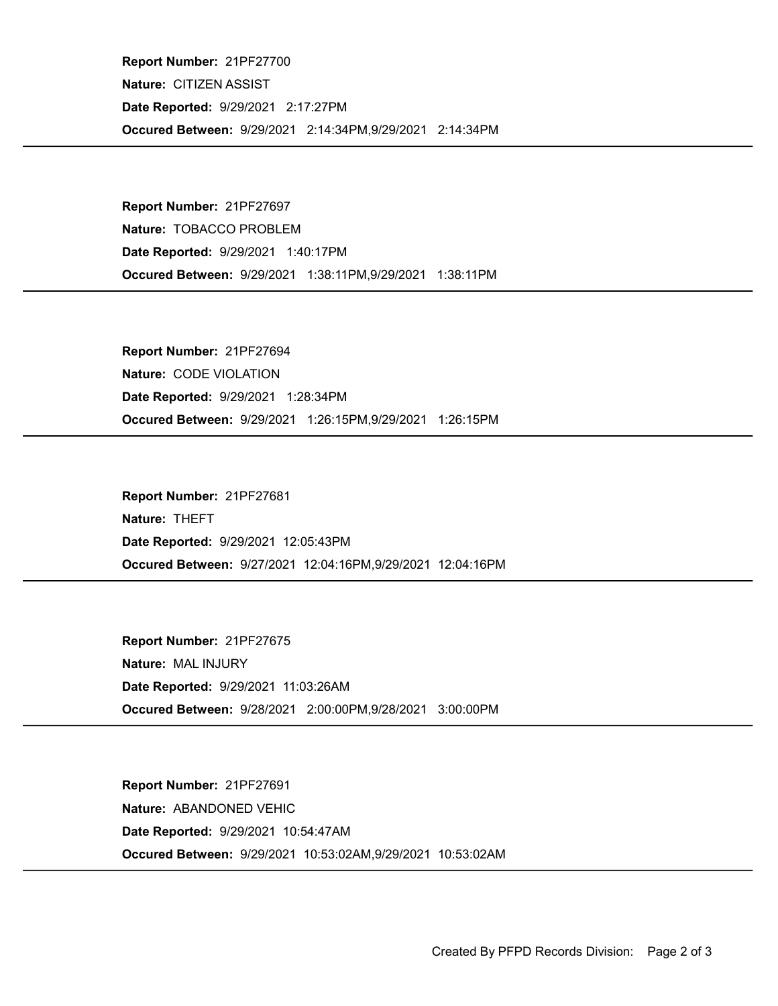Occured Between: 9/29/2021 2:14:34PM,9/29/2021 2:14:34PM Report Number: 21PF27700 Nature: CITIZEN ASSIST Date Reported: 9/29/2021 2:17:27PM

Occured Between: 9/29/2021 1:38:11PM,9/29/2021 1:38:11PM Report Number: 21PF27697 Nature: TOBACCO PROBLEM Date Reported: 9/29/2021 1:40:17PM

Occured Between: 9/29/2021 1:26:15PM,9/29/2021 1:26:15PM Report Number: 21PF27694 Nature: CODE VIOLATION Date Reported: 9/29/2021 1:28:34PM

Occured Between: 9/27/2021 12:04:16PM,9/29/2021 12:04:16PM Report Number: 21PF27681 Nature: THEFT Date Reported: 9/29/2021 12:05:43PM

Occured Between: 9/28/2021 2:00:00PM,9/28/2021 3:00:00PM Report Number: 21PF27675 Nature: MAL INJURY Date Reported: 9/29/2021 11:03:26AM

Occured Between: 9/29/2021 10:53:02AM,9/29/2021 10:53:02AM Report Number: 21PF27691 Nature: ABANDONED VEHIC Date Reported: 9/29/2021 10:54:47AM